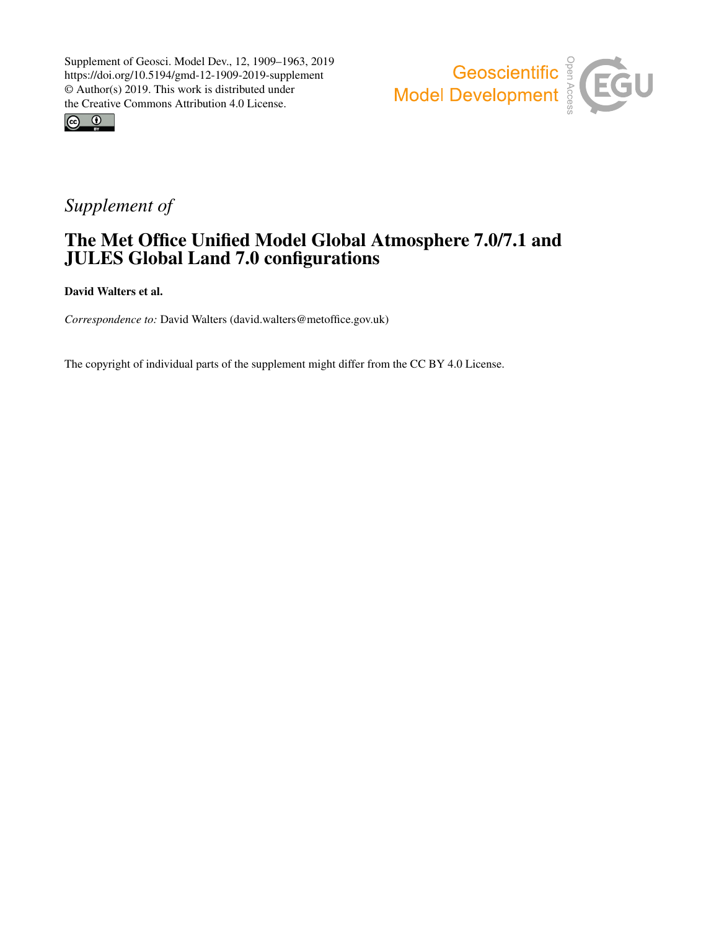



# *Supplement of*

## The Met Office Unified Model Global Atmosphere 7.0/7.1 and JULES Global Land 7.0 configurations

David Walters et al.

*Correspondence to:* David Walters (david.walters@metoffice.gov.uk)

The copyright of individual parts of the supplement might differ from the CC BY 4.0 License.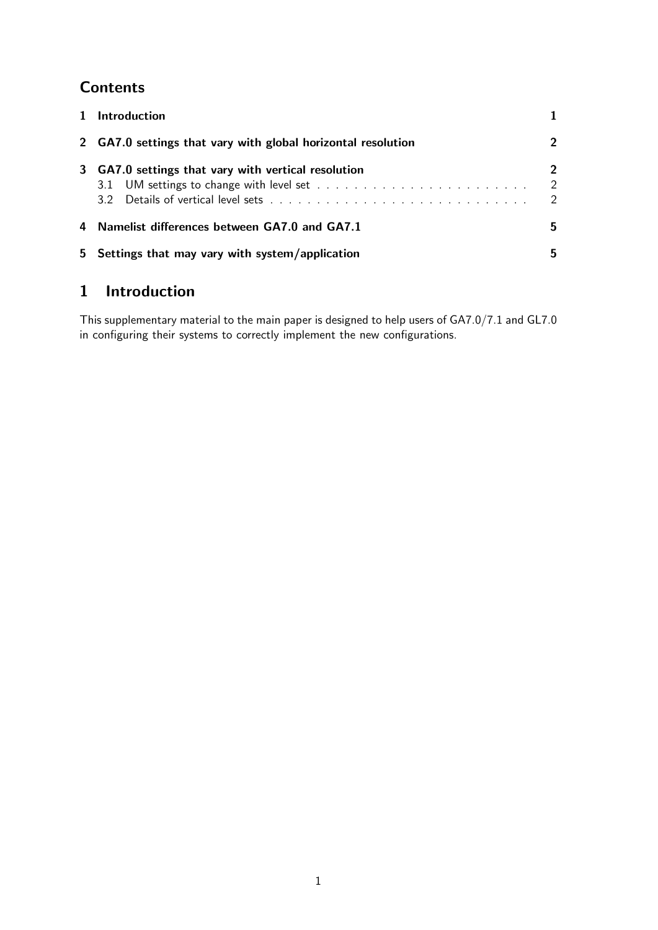## **Contents**

|   | 5 Settings that may vary with system/application             | 5.                                            |
|---|--------------------------------------------------------------|-----------------------------------------------|
|   | 4 Namelist differences between GA7.0 and GA7.1               | 5.                                            |
| 3 | GA7.0 settings that vary with vertical resolution            | $2^{\circ}$<br>$\mathcal{L}$<br>$\mathcal{P}$ |
|   | 2 GA7.0 settings that vary with global horizontal resolution | 2                                             |
|   | 1 Introduction                                               |                                               |

## 1 Introduction

This supplementary material to the main paper is designed to help users of GA7.0/7.1 and GL7.0 in configuring their systems to correctly implement the new configurations.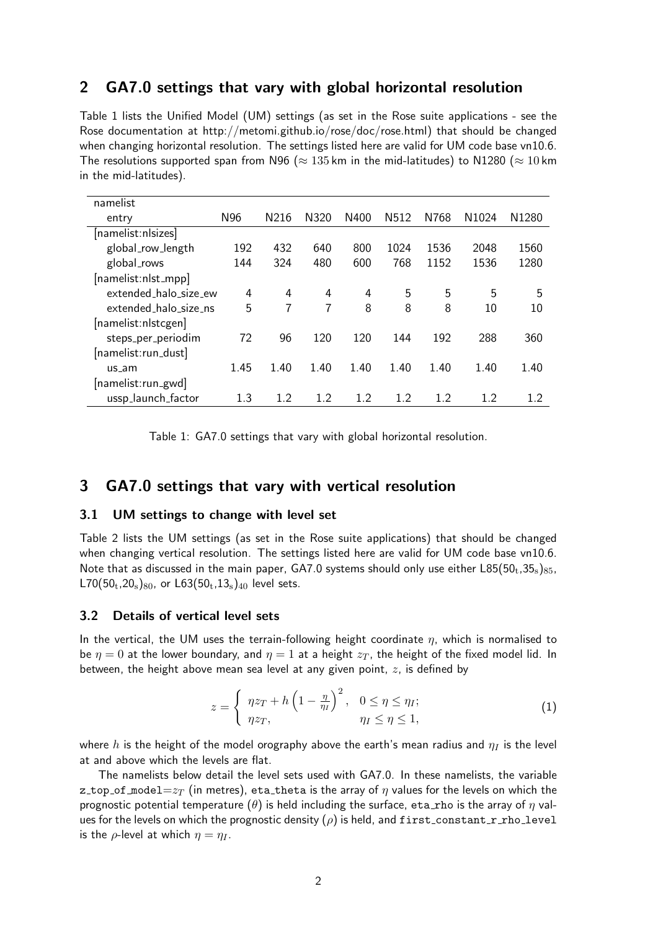## 2 GA7.0 settings that vary with global horizontal resolution

Table 1 lists the Unified Model (UM) settings (as set in the Rose suite applications - see the Rose documentation at http://metomi.github.io/rose/doc/rose.html) that should be changed when changing horizontal resolution. The settings listed here are valid for UM code base vn10.6. The resolutions supported span from N96 ( $\approx$  135 km in the mid-latitudes) to N1280 ( $\approx$  10 km in the mid-latitudes).

| namelist              |      |      |      |      |                  |      |                   |                   |
|-----------------------|------|------|------|------|------------------|------|-------------------|-------------------|
| entry                 | N96  | N216 | N320 | N400 | N <sub>512</sub> | N768 | N <sub>1024</sub> | N <sub>1280</sub> |
| [namelist:nlsizes]    |      |      |      |      |                  |      |                   |                   |
| global_row_length     | 192  | 432  | 640  | 800  | 1024             | 1536 | 2048              | 1560              |
| global_rows           | 144  | 324  | 480  | 600  | 768              | 1152 | 1536              | 1280              |
| [namelist:nlst_mpp]   |      |      |      |      |                  |      |                   |                   |
| extended_halo_size_ew | 4    | 4    | 4    | 4    | 5                | 5    | 5                 | 5                 |
| extended_halo_size_ns | 5    | 7    | 7    | 8    | 8                | 8    | 10                | 10                |
| [namelist:nlstcgen]   |      |      |      |      |                  |      |                   |                   |
| steps_per_periodim    | 72   | 96   | 120  | 120  | 144              | 192  | 288               | 360               |
| [namelist:run_dust]   |      |      |      |      |                  |      |                   |                   |
| us am                 | 1.45 | 1.40 | 1.40 | 1.40 | 1.40             | 1.40 | 1.40              | 1.40              |
| [namelist:run_gwd     |      |      |      |      |                  |      |                   |                   |
| ussp_launch_factor    | 1.3  | 1.2  | 1.2  | 1.2  | 12               | 1.2  | 12                | 1.2               |

Table 1: GA7.0 settings that vary with global horizontal resolution.

### 3 GA7.0 settings that vary with vertical resolution

#### 3.1 UM settings to change with level set

Table 2 lists the UM settings (as set in the Rose suite applications) that should be changed when changing vertical resolution. The settings listed here are valid for UM code base vn10.6. Note that as discussed in the main paper, GA7.0 systems should only use either  $L85(50<sub>t</sub>, 35<sub>s</sub>)_{85}$  $L70(50_t, 20_s)_{80}$ , or  $L63(50_t, 13_s)_{40}$  level sets.

#### 3.2 Details of vertical level sets

In the vertical, the UM uses the terrain-following height coordinate  $\eta$ , which is normalised to be  $\eta = 0$  at the lower boundary, and  $\eta = 1$  at a height  $z_T$ , the height of the fixed model lid. In between, the height above mean sea level at any given point,  $z$ , is defined by

$$
z = \begin{cases} \eta z_T + h \left( 1 - \frac{\eta}{\eta_I} \right)^2, & 0 \le \eta \le \eta_I; \\ \eta z_T, & \eta_I \le \eta \le 1, \end{cases}
$$
 (1)

where h is the height of the model orography above the earth's mean radius and  $\eta_I$  is the level at and above which the levels are flat.

The namelists below detail the level sets used with GA7.0. In these namelists, the variable z\_top\_of\_model= $z_T$  (in metres), eta\_theta is the array of  $\eta$  values for the levels on which the prognostic potential temperature  $(\theta)$  is held including the surface, eta rho is the array of  $\eta$  values for the levels on which the prognostic density  $(\rho)$  is held, and first\_constant\_r\_rho\_level is the  $\rho$ -level at which  $\eta = \eta_I$ .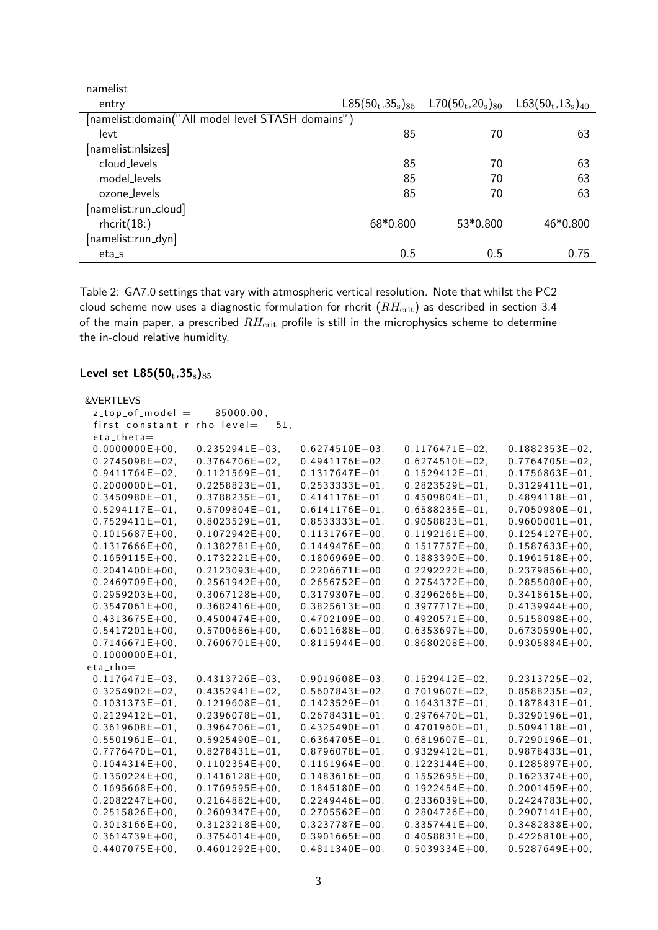| namelist                                           |                        |                                       |                        |
|----------------------------------------------------|------------------------|---------------------------------------|------------------------|
| entry                                              | $L85(50_t, 35_s)_{85}$ | $L70(50_{\rm t}$ ,20 $_{\rm s})_{80}$ | $L63(50_t, 13_s)_{40}$ |
| [namelist: domain("All model level STASH domains") |                        |                                       |                        |
| levt                                               | 85                     | 70                                    | 63                     |
| [namelist:nlsizes]                                 |                        |                                       |                        |
| cloud_levels                                       | 85                     | 70                                    | 63                     |
| model levels                                       | 85                     | 70                                    | 63                     |
| ozone levels                                       | 85                     | 70                                    | 63                     |
| [namelist:run_cloud]                               |                        |                                       |                        |
| $r$ hcrit $(18)$                                   | 68*0.800               | 53*0.800                              | 46*0.800               |
| [namelist:run_dyn]                                 |                        |                                       |                        |
| $eta_s$                                            | 0.5                    | 0.5                                   | 0.75                   |

Table 2: GA7.0 settings that vary with atmospheric vertical resolution. Note that whilst the PC2 cloud scheme now uses a diagnostic formulation for rhcrit  $(RH_{\text{crit}})$  as described in section 3.4 of the main paper, a prescribed  $RH_{\text{crit}}$  profile is still in the microphysics scheme to determine the in-cloud relative humidity.

## Level set  $L85(50_t, 35_s)_{85}$

| &VERTLEVS                   |                     |                     |                     |                     |
|-----------------------------|---------------------|---------------------|---------------------|---------------------|
| $z_t$ top of model =        | 85000.00.           |                     |                     |                     |
| first_constant_r_rho_level= | 51,                 |                     |                     |                     |
| $eta$ _theta $=$            |                     |                     |                     |                     |
| $0.0000000E + 00,$          | $0.2352941E - 03$   | $0.6274510E - 03$   | $0.1176471E - 02$   | $0.1882353E - 02$   |
| $0.2745098E - 02$           | $0.3764706E - 02$   | $0.4941176E - 02$   | $0.6274510E - 02$   | $0.7764705E - 02$   |
| $0.9411764E - 02$           | $0.1121569E - 01$ , | $0.1317647E - 01$ , | $0.1529412E - 01$   | $0.1756863E - 01$ , |
| $0.2000000E - 01.$          | $0.2258823E - 01.$  | $0.2533333E - 01$ . | $0.2823529E - 01$   | $0.3129411E - 01$ . |
| $0.3450980E - 01.$          | $0.3788235E - 01.$  | $0.4141176E - 01.$  | $0.4509804E - 01.$  | $0.4894118E - 01.$  |
| $0.5294117E - 01$ .         | $0.5709804E - 01.$  | $0.6141176E - 01.$  | $0.6588235E - 01.$  | $0.7050980E - 01.$  |
| $0.7529411E - 01.$          | $0.8023529E - 01.$  | $0.8533333E - 01.$  | $0.9058823E - 01.$  | $0.9600001E - 01.$  |
| $0.1015687E + 00,$          | $0.1072942E + 00,$  | $0.1131767E+00,$    | $0.1192161E+00$ ,   | $0.1254127E + 00$ , |
| $0.1317666E + 00.$          | $0.1382781E + 00$ , | $0.1449476E + 00.$  | $0.1517757E+00.$    | $0.1587633E + 00$ , |
| $0.1659115E+00.$            | $0.1732221E+00,$    | $0.1806969E + 00,$  | $0.1883390E + 00$ , | $0.1961518E + 00$ , |
| $0.2041400E + 00.$          | $0.2123093E + 00.$  | $0.2206671E + 00.$  | $0.2292222E+00,$    | $0.2379856E + 00.$  |
| $0.2469709E + 00,$          | $0.2561942E + 00,$  | $0.2656752E+00,$    | $0.2754372E + 00$ , | $0.2855080E + 00,$  |
| $0.2959203E+00,$            | $0.3067128E + 00$ , | $0.3179307E + 00$ , | $0.3296266E + 00$ , | $0.3418615E+00,$    |
| $0.3547061E + 00.$          | $0.3682416E + 00.$  | $0.3825613E + 00.$  | $0.3977717E + 00.$  | $0.4139944E + 00.$  |
| $0.4313675E + 00,$          | $0.4500474E + 00,$  | $0.4702109E + 00,$  | $0.4920571E+00,$    | $0.5158098E+00,$    |
| $0.5417201E+00,$            | $0.5700686E + 00,$  | $0.6011688E + 00,$  | $0.6353697E + 00,$  | $0.6730590E + 00,$  |
| $0.7146671E + 00$ ,         | $0.7606701E + 00$ , | $0.8115944E+00$ ,   | $0.8680208E + 00,$  | $0.9305884E + 00,$  |
| $0.1000000E + 01.$          |                     |                     |                     |                     |
| $eta_r$ ho $=$              |                     |                     |                     |                     |
| $0.1176471E - 03$           | $0.4313726E - 03$   | $0.9019608E - 03$   | $0.1529412E - 02$ . | $0.2313725E - 02$   |
| $0.3254902E - 02$           | $0.4352941E - 02$ . | $0.5607843E - 02$   | $0.7019607E - 02$   | $0.8588235E - 02$   |
| $0.1031373E - 01.$          | $0.1219608E - 01.$  | $0.1423529E - 01$   | $0.1643137E - 01$   | $0.1878431E - 01.$  |
| $0.2129412E - 01$ .         | $0.2396078E - 01$ , | $0.2678431E - 01$ . | $0.2976470E - 01$   | $0.3290196E - 01$   |
| $0.3619608E - 01$           | $0.3964706E - 01$   | $0.4325490E - 01$ , | $0.4701960E - 01$ , | $0.5094118E - 01$ , |
| $0.5501961E - 01.$          | $0.5925490E - 01.$  | $0.6364705E - 01.$  | $0.6819607E - 01.$  | $0.7290196E - 01$   |
| $0.7776470E - 01.$          | $0.8278431E - 01.$  | $0.8796078E - 01.$  | $0.9329412E - 01$ . | $0.9878433E - 01$   |
| $0.1044314E+00.$            | $0.1102354E+00.$    | $0.1161964E+00.$    | $0.1223144E+00.$    | $0.1285897E+00.$    |
| $0.1350224E+00.$            | $0.1416128E + 00.$  | $0.1483616E + 00.$  | $0.1552695E + 00.$  | $0.1623374E + 00.$  |
| $0.1695668E + 00,$          | $0.1769595E+00,$    | $0.1845180E + 00,$  | $0.1922454E+00.$    | $0.2001459E + 00,$  |
| $0.2082247E+00,$            | $0.2164882E+00.$    | $0.2249446E + 00.$  | $0.2336039E + 00.$  | $0.2424783E + 00.$  |
| $0.2515826E + 00$ ,         | $0.2609347E + 00,$  | $0.2705562E + 00,$  | $0.2804726E + 00$ , | $0.2907141E + 00$ , |
| $0.3013166E + 00.$          | $0.3123218E + 00.$  | $0.3237787E + 00.$  | $0.3357441E + 00.$  | $0.3482838E + 00.$  |
| $0.3614739E + 00$ ,         | $0.3754014E+00.$    | $0.3901665E + 00,$  | $0.4058831E+00.$    | $0.4226810E + 00,$  |
| $0.4407075E + 00.$          | $0.4601292E + 00.$  | $0.4811340E + 00.$  | $0.5039334E + 00.$  | $0.5287649E + 00.$  |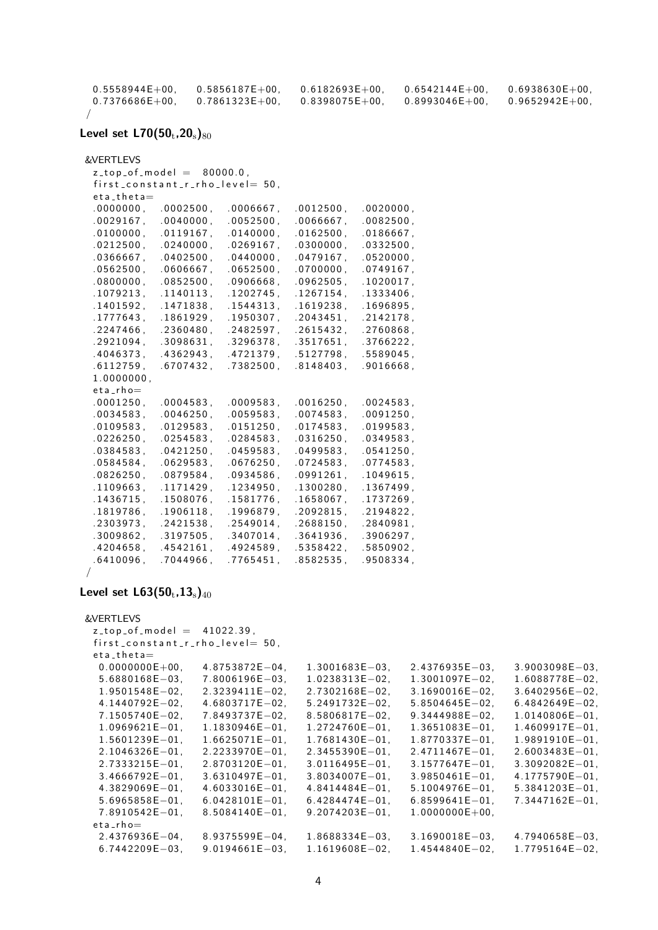| $0.5558944E+00.$ | $0.5856187E+00.$ | $0.6182693E+00.$   | $0.6542144E+00.$ | $0.6938630E+00.$ |
|------------------|------------------|--------------------|------------------|------------------|
| $0.7376686E+00.$ | $0.7861323E+00.$ | $0.8398075E + 00.$ | $0.8993046E+00.$ | $0.9652942E+00.$ |
|                  |                  |                    |                  |                  |

#### Level set  $L70(50_t, 20_s)_{80}$

&VERTLEVS

```
z_t top _of_model = 80000.0,
first_{constant\_r\_rho\_level = 50,
et a _t h e t a=.0000000, 0002500, 0006667, 0012500, 0020000,.0029167, .0040000, .0052500, .0066667, .0082500,.0100000, \quad .0119167, \quad .0140000, \quad .0162500, \quad .0186667,.0212500, .0240000, .0269167, .0300000, .0332500,.0366667, .0402500, .0440000, .0479167, .0520000,
.0562500, .0606667, .0652500, .0700000, .0749167,.0800000, \quad .0852500, \quad .0906668, \quad .0962505, \quad .1020017,.1079213, .1140113, .1202745, .1267154, .1333406,
.1401592, .1471838, .1544313, .1619238, .1696895,
.1777643, .1861929, .1950307, .2043451, .2142178,. 2247466, . 2360480, . 2482597, . 2615432, . 2760868,
.2921094, .3098631, .3296378, .3517651, .3766222,
.4046373, .4362943, .4721379, .5127798, .5589045,
.6112759, .6707432, .7382500, .8148403, .9016668,
1.0000000,eta_rho=.0001250, .0004583, .0009583, .0016250, .0024583,
.0034583, .0046250, .0059583, .0074583, .0091250,
.0109583, .0129583, .0151250, .0174583, .0199583,
.0226250, .0254583, .0284583, .0316250, .0349583,
.0384583, .0421250, .0459583, .0499583, .0541250,
.0584584, .0629583, .0676250, .0724583, .0774583,
.0826250, .0879584, .0934586, .0991261, .1049615,
.1109663, .1171429, .1234950, .1300280, .1367499,
.1436715, .1508076, .1581776, .1658067, .1737269,
.1819786, .1906118, .1996879, .2092815, .2194822,
. 2303973, . 2421538, . 2549014, . 2688150, . 2840981,
.3009862, .3197505, .3407014, .3641936, .3906297,
```
.4 2 0 4 6 5 8 , .4 5 4 2 1 6 1 , .4 9 2 4 5 8 9  $\cdot$  .5 3 5 8 4 2 2 , .5 8 5 0 9 0 2 , .6410096, .7044966, .7765451, .8582535, .9508334,

/

#### Level set  $L63(50_t, 13_s)_{40}$

```
&VERTLEVS
 z_t top of model = 41022.39,
 first_{constant\_r\_rho\_level = 50,
 eta<sub>-theta</sub>=0.0000000E+00, 4.8753872E-04, 1.3001683E-03, 2.4376935E-03, 3.9003098E-03,
  5. 6 8 8 0 1 6 8E−03, 7. 8 0 0 6 1 9 6E−03, 1. 0 2 3 8 3 1 3E−02, 1. 3 0 0 1 0 9 7E−02, 1. 6 0 8 8 7 7 8E−02,
  1.9501548E−02, 2.3239411E−02, 2.7302168E−02, 3.1690016E−02, 3.6402956E−02,
  4. 1 4 4 0 7 9 2E−02, 4. 6 8 0 3 7 1 7E−02, 5. 2 4 9 1 7 3 2E−02, 5. 8 5 0 4 6 4 5E−02, 6. 4 8 4 2 6 4 9E−02,
  7.1505740E−02, 7.8493737E−02, 8.5806817E−02, 9.3444988E−02, 1.0140806E−01,
  1.0969621E−01, 1.1830946E−01, 1.2724760E−01, 1.3651083E−01, 1.4609917E−01,
  1.5601239E−01, 1.6625071E−01, 1.7681430E−01, 1.8770337E−01, 1.9891910E−01,
  2.1046326E−01, 2.2233970E−01, 2.3455390E−01, 2.4711467E−01, 2.6003483E−01,
  2.7333215E−01, 2.8703120E−01, 3.0116495E−01, 3.1577647E−01, 3.3092082E−01,
  3.4666792E−01, 3.6310497E−01, 3.8034007E−01, 3.9850461E−01, 4.1775790E−01,
  4. 3 8 2 9 0 6 9 E−01, 4. 6 0 3 3 0 1 6 E−01, 4. 8 4 1 4 4 8 4 E−01, 5. 1 0 0 4 9 7 6 E−01, 5. 3 8 4 1 2 0 3 E−01,
  5. 6 9 6 5 8 5 8E−01, 6. 0 4 2 8 1 0 1E−01, 6. 4 2 8 4 4 7 4E−01, 6. 8 5 9 9 6 4 1E−01, 7. 3 4 4 7 1 6 2E−01,
  7.8910542E−01, 8.5084140E−01, 9.2074203E−01, 1.0000000E+00,
 eta_rho=2.4376936E−04, 8.9375599E−04, 1.8688334E−03, 3.1690018E−03, 4.7940658E−03,
  6. 7 4 4 2 2 0 9E−03, 9. 0 1 9 4 6 6 1E−03, 1. 1 6 1 9 6 0 8E−02, 1. 4 5 4 4 8 4 0E−02, 1. 7 7 9 5 1 6 4E−02,
```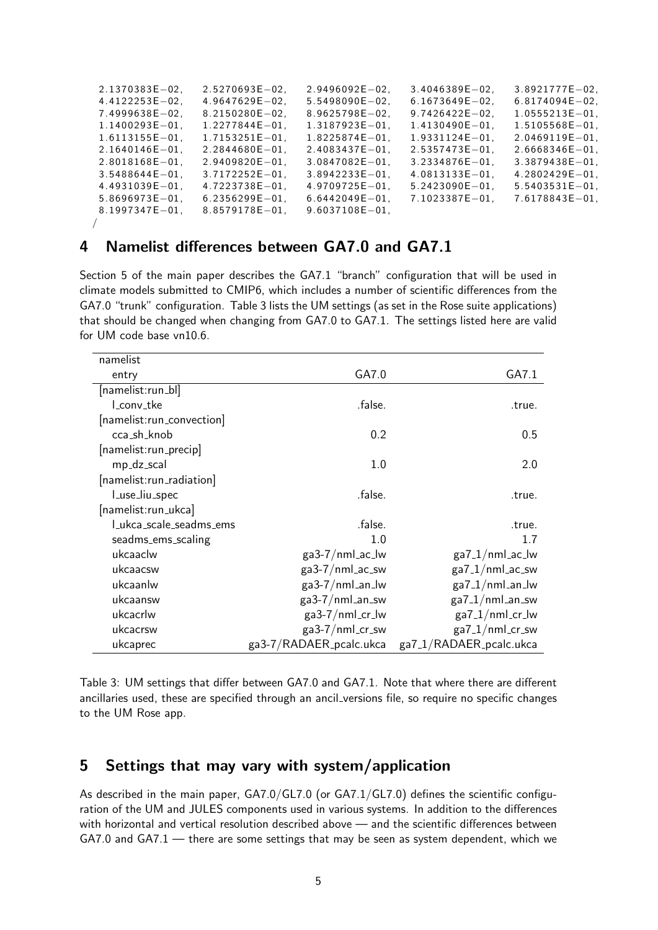| $2.1370383E - 02$  | $2.5270693E - 02$   | $2.9496092E - 02$   | $3.4046389E - 02$  | $3.8921777E - 02$  |
|--------------------|---------------------|---------------------|--------------------|--------------------|
| $4.4122253E - 02$  | $4.9647629E - 02$   | $5.5498090E - 02$   | $6.1673649E - 02$  | $6.8174094E - 02$  |
| $7.4999638E - 02.$ | $8.2150280E - 02.$  | $8.9625798E - 02.$  | $9.7426422E - 02$  | $1.0555213E - 01.$ |
| $1.1400293E - 01.$ | $1.2277844E - 01$   | $1.3187923E - 01$ . | $1.4130490E - 01.$ | $1.5105568E - 01.$ |
| $1.6113155E - 01.$ | $1.7153251E - 01.$  | $1.8225874E - 01.$  | $1.9331124E - 01.$ | $2.0469119E - 01.$ |
| $2.1640146E - 01.$ | $2.2844680E - 01$   | $2.4083437E - 01.$  | $2.5357473E - 01.$ | $2.6668346E - 01.$ |
| $2.8018168E - 01.$ | $2.9409820E - 01$   | $3.0847082E - 01.$  | $3.2334876E - 01.$ | $3.3879438E - 01.$ |
| $3.5488644E - 01.$ | $3.7172252E - 01.$  | $3.8942233E - 01.$  | $4.0813133E - 01.$ | $4.2802429E - 01.$ |
| $4.4931039E - 01.$ | $4.7223738E - 01$   | $4.9709725E - 01.$  | $5.2423090E - 01.$ | $5.5403531E - 01.$ |
| $5.8696973E - 01.$ | $6.2356299E - 01$ . | $6.6442049E - 01.$  | $7.1023387E - 01.$ | $7.6178843E - 01.$ |
| $8.1997347E - 01.$ | $8.8579178E - 01.$  | $9.6037108E - 01.$  |                    |                    |
|                    |                     |                     |                    |                    |

## 4 Namelist differences between GA7.0 and GA7.1

Section 5 of the main paper describes the GA7.1 "branch" configuration that will be used in climate models submitted to CMIP6, which includes a number of scientific differences from the GA7.0 "trunk" configuration. Table 3 lists the UM settings (as set in the Rose suite applications) that should be changed when changing from GA7.0 to GA7.1. The settings listed here are valid for UM code base vn10.6.

| namelist                  |                         |                         |
|---------------------------|-------------------------|-------------------------|
| entry                     | GA7.0                   | GA7.1                   |
| [namelist:run_bl]         |                         |                         |
| L_conv_tke                | .false.                 | .true.                  |
| [namelist:run_convection] |                         |                         |
| cca_sh_knob               | 0.2                     | 0.5                     |
| [namelist:run_precip]     |                         |                         |
| mp_dz_scal                | 1.0                     | 2.0                     |
| [namelist:run_radiation]  |                         |                         |
| Luse_liu_spec             | .false.                 | .true.                  |
| [namelist:run_ukca]       |                         |                         |
| Lukca_scale_seadms_ems    | .false.                 | .true.                  |
| seadms_ems_scaling        | 1.0                     | 1.7                     |
| ukcaaclw                  | ga3-7/nml_ac_lw         | $ga7_1/mml_2c_lw$       |
| ukcaacsw                  | ga3-7/nml_ac_sw         | $ga7_1/mml_acc$ _sw     |
| ukcaanlw                  | $ga3-7/nml_an_lw$       | $ga7_1/mml_an_lw$       |
| ukcaansw                  | $ga3-7/nml_an_sw$       | $ga7_1/mml_an_sw$       |
| ukcacrlw                  | ga3-7/nml_cr_lw         | $ga7_1/mml_c$ r_lw      |
| ukcacrsw                  | $ga3-7/nml_c$ r_sw      | $ga7_1/mml_c$ r_sw      |
| ukcaprec                  | ga3-7/RADAER_pcalc.ukca | ga7_1/RADAER_pcalc.ukca |

Table 3: UM settings that differ between GA7.0 and GA7.1. Note that where there are different ancillaries used, these are specified through an ancil versions file, so require no specific changes to the UM Rose app.

### 5 Settings that may vary with system/application

As described in the main paper, GA7.0/GL7.0 (or GA7.1/GL7.0) defines the scientific configuration of the UM and JULES components used in various systems. In addition to the differences with horizontal and vertical resolution described above — and the scientific differences between  $GAY.0$  and  $GAY.1$  — there are some settings that may be seen as system dependent, which we